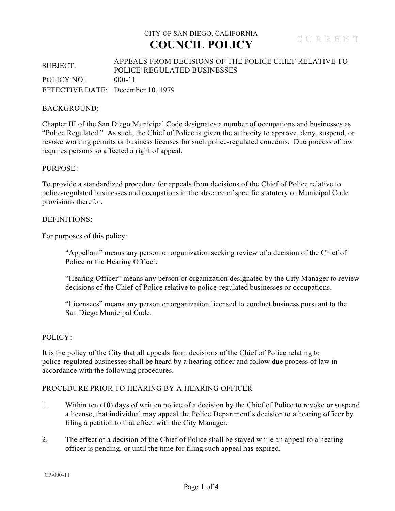## SUBJECT: APPEALS FROM DECISIONS OF THE POLICE CHIEF RELATIVE TO POLICE-REGULATED BUSINESSES POLICY NO.: 000-11 EFFECTIVE DATE: December 10, 1979

### BACKGROUND:

Chapter III of the San Diego Municipal Code designates a number of occupations and businesses as "Police Regulated." As such, the Chief of Police is given the authority to approve, deny, suspend, or revoke working permits or business licenses for such police-regulated concerns. Due process of law requires persons so affected a right of appeal.

#### PURPOSE:

To provide a standardized procedure for appeals from decisions of the Chief of Police relative to police-regulated businesses and occupations in the absence of specific statutory or Municipal Code provisions therefor.

#### DEFINITIONS:

For purposes of this policy:

"Appellant" means any person or organization seeking review of a decision of the Chief of Police or the Hearing Officer.

"Hearing Officer" means any person or organization designated by the City Manager to review decisions of the Chief of Police relative to police-regulated businesses or occupations.

"Licensees" means any person or organization licensed to conduct business pursuant to the San Diego Municipal Code.

#### POLICY:

It is the policy of the City that all appeals from decisions of the Chief of Police relating to police-regulated businesses shall be heard by a hearing officer and follow due process of law in accordance with the following procedures.

### PROCEDURE PRIOR TO HEARING BY A HEARING OFFICER

- 1. Within ten (10) days of written notice of a decision by the Chief of Police to revoke or suspend a license, that individual may appeal the Police Department's decision to a hearing officer by filing a petition to that effect with the City Manager.
- 2. The effect of a decision of the Chief of Police shall be stayed while an appeal to a hearing officer is pending, or until the time for filing such appeal has expired.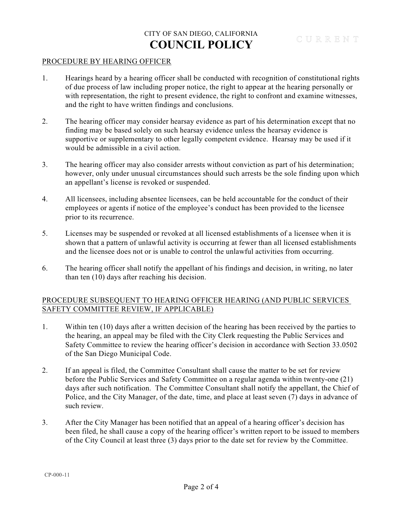### PROCEDURE BY HEARING OFFICER

- 1. Hearings heard by a hearing officer shall be conducted with recognition of constitutional rights of due process of law including proper notice, the right to appear at the hearing personally or with representation, the right to present evidence, the right to confront and examine witnesses, and the right to have written findings and conclusions.
- 2. The hearing officer may consider hearsay evidence as part of his determination except that no finding may be based solely on such hearsay evidence unless the hearsay evidence is supportive or supplementary to other legally competent evidence. Hearsay may be used if it would be admissible in a civil action.
- 3. The hearing officer may also consider arrests without conviction as part of his determination; however, only under unusual circumstances should such arrests be the sole finding upon which an appellant's license is revoked or suspended.
- 4. All licensees, including absentee licensees, can be held accountable for the conduct of their employees or agents if notice of the employee's conduct has been provided to the licensee prior to its recurrence.
- 5. Licenses may be suspended or revoked at all licensed establishments of a licensee when it is shown that a pattern of unlawful activity is occurring at fewer than all licensed establishments and the licensee does not or is unable to control the unlawful activities from occurring.
- 6. The hearing officer shall notify the appellant of his findings and decision, in writing, no later than ten (10) days after reaching his decision.

## PROCEDURE SUBSEQUENT TO HEARING OFFICER HEARING (AND PUBLIC SERVICES SAFETY COMMITTEE REVIEW, IF APPLICABLE)

- 1. Within ten (10) days after a written decision of the hearing has been received by the parties to the hearing, an appeal may be filed with the City Clerk requesting the Public Services and Safety Committee to review the hearing officer's decision in accordance with Section 33.0502 of the San Diego Municipal Code.
- 2. If an appeal is filed, the Committee Consultant shall cause the matter to be set for review before the Public Services and Safety Committee on a regular agenda within twenty-one (21) days after such notification. The Committee Consultant shall notify the appellant, the Chief of Police, and the City Manager, of the date, time, and place at least seven (7) days in advance of such review.
- 3. After the City Manager has been notified that an appeal of a hearing officer's decision has been filed, he shall cause a copy of the hearing officer's written report to be issued to members of the City Council at least three (3) days prior to the date set for review by the Committee.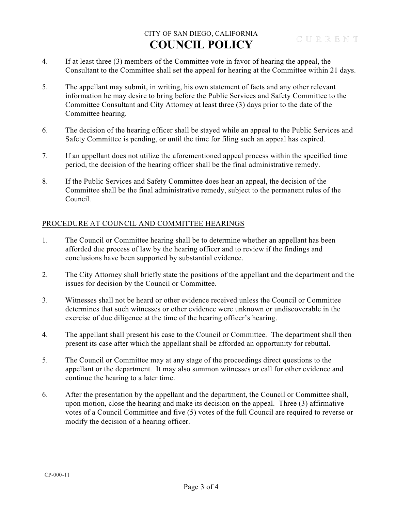- 4. If at least three (3) members of the Committee vote in favor of hearing the appeal, the Consultant to the Committee shall set the appeal for hearing at the Committee within 21 days.
- 5. The appellant may submit, in writing, his own statement of facts and any other relevant information he may desire to bring before the Public Services and Safety Committee to the Committee Consultant and City Attorney at least three (3) days prior to the date of the Committee hearing.
- 6. The decision of the hearing officer shall be stayed while an appeal to the Public Services and Safety Committee is pending, or until the time for filing such an appeal has expired.
- 7. If an appellant does not utilize the aforementioned appeal process within the specified time period, the decision of the hearing officer shall be the final administrative remedy.
- 8. If the Public Services and Safety Committee does hear an appeal, the decision of the Committee shall be the final administrative remedy, subject to the permanent rules of the Council.

## PROCEDURE AT COUNCIL AND COMMITTEE HEARINGS

- 1. The Council or Committee hearing shall be to determine whether an appellant has been afforded due process of law by the hearing officer and to review if the findings and conclusions have been supported by substantial evidence.
- 2. The City Attorney shall briefly state the positions of the appellant and the department and the issues for decision by the Council or Committee.
- 3. Witnesses shall not be heard or other evidence received unless the Council or Committee determines that such witnesses or other evidence were unknown or undiscoverable in the exercise of due diligence at the time of the hearing officer's hearing.
- 4. The appellant shall present his case to the Council or Committee. The department shall then present its case after which the appellant shall be afforded an opportunity for rebuttal.
- 5. The Council or Committee may at any stage of the proceedings direct questions to the appellant or the department. It may also summon witnesses or call for other evidence and continue the hearing to a later time.
- 6. After the presentation by the appellant and the department, the Council or Committee shall, upon motion, close the hearing and make its decision on the appeal. Three (3) affirmative votes of a Council Committee and five (5) votes of the full Council are required to reverse or modify the decision of a hearing officer.